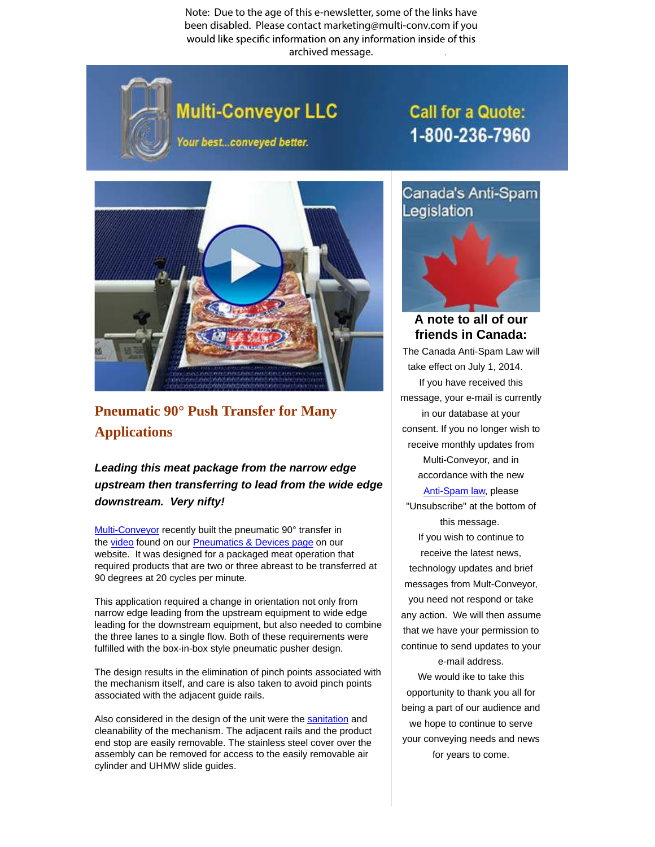Note: Due to the age of this e-newsletter, some of the links have been disabled. Please contact marketing@multi-conv.com if you would like specific information on any information inside of this archived message..



## Multi-Conveyor LLC

Your best...conveyed better.

## **Call for a Quote:** 1-800-236-7960



## **Pneumatic 90° Push Transfer for Many [Applications](http://www.multi-conveyor.com/multi-media-center/videos)**

## **Leading this meat package from the narrow edge upstream then transferring to lead from the wide edge downstream. Very nifty!**

Multi-Conveyor recently built the pneumatic 90° transfer in the video found on our Pneumatics & Devices page on our website. It was designed for a packaged meat operation that required products that are two or three abreast to be transferred at 90 degrees at 20 cycles per minute.

This application required a change in orientation not only from narrow edge leading from the upstream equipment to wide edge leading for the downstream equipment, but also needed to combine the three lanes to a single flow. Both of these requirements were fulfilled with the box-in-box style pneumatic pusher design.

The design results in the elimination of pinch points associated with the mechanism itself, and care is also taken to avoid pinch points associated with the adjacent guide rails.

Also considered in the design of the unit were the sanitation and cleanability of the mechanism. The adjacent rails and the product end stop are easily removable. The stainless steel cover over the assembly can be removed for access to the easily removable air cylinder and UHMW slide guides.



**A note to all of our friends in Canada:**

The Canada Anti-Spam Law will take effect on July 1, 2014. If you have received this message, your e-mail is currently in our database at your consent. If you no longer wish to receive monthly updates from Multi-Conveyor, and in accordance with the new Anti-Spam law, please

"Unsubscribe" at the bottom of this message. If you wish to continue to receive the latest news, technology updates and brief messages from Mult-Conveyor, you need not respond or take any action. We will then assume that we have your permission to continue to send updates to your e-mail address.

We would ike to take this opportunity to thank you all for being a part of our audience and we hope to continue to serve your conveying needs and news for years to come.